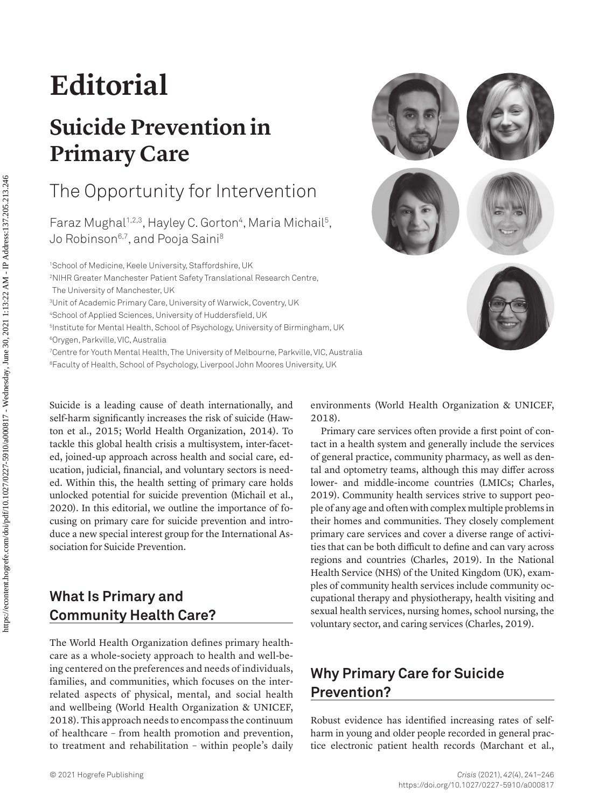# **Editorial**

# **Suicide Prevention in Primary Care**

# The Opportunity for Intervention

Faraz Mughal<sup>1,2,3</sup>, Hayley C. Gorton<sup>4</sup>, Maria Michail<sup>5</sup>, Jo Robinson<sup>6,7</sup>, and Pooja Saini<sup>8</sup>

1 School of Medicine, Keele University, Staffordshire, UK

2 NIHR Greater Manchester Patient Safety Translational Research Centre, The University of Manchester, UK

3 Unit of Academic Primary Care, University of Warwick, Coventry, UK

4 School of Applied Sciences, University of Huddersfield, UK

5 Institute for Mental Health, School of Psychology, University of Birmingham, UK

6Orygen, Parkville, VIC, Australia

7 Centre for Youth Mental Health, The University of Melbourne, Parkville, VIC, Australia

8 Faculty of Health, School of Psychology, Liverpool John Moores University, UK

Suicide is a leading cause of death internationally, and self-harm significantly increases the risk of suicide [\(Haw](#page-3-0)[ton et al., 2015;](#page-3-0) [World Health Organization, 2014](#page-4-0)). To tackle this global health crisis a multisystem, inter-faceted, joined-up approach across health and social care, education, judicial, financial, and voluntary sectors is needed. Within this, the health setting of primary care holds unlocked potential for suicide prevention [\(Michail et al.,](#page-3-1)  [2020\)](#page-3-1). In this editorial, we outline the importance of focusing on primary care for suicide prevention and introduce a new special interest group for the International Association for Suicide Prevention.

### **What Is Primary and Community Health Care?**

The World Health Organization defines primary healthcare as a whole-society approach to health and well-being centered on the preferences and needs of individuals, families, and communities, which focuses on the interrelated aspects of physical, mental, and social health and wellbeing ([World Health Organization & UNICEF,](#page-4-1)  [2018](#page-4-1)). This approach needs to encompass the continuum of healthcare – from health promotion and prevention, to treatment and rehabilitation – within people's daily



Primary care services often provide a first point of contact in a health system and generally include the services of general practice, community pharmacy, as well as dental and optometry teams, although this may differ across lower- and middle-income countries (LMICs; [Charles,](#page-3-2)  [2019\)](#page-3-2). Community health services strive to support people of any age and often with complex multiple problems in their homes and communities. They closely complement primary care services and cover a diverse range of activities that can be both difficult to define and can vary across regions and countries ([Charles, 2019\)](#page-3-2). In the National Health Service (NHS) of the United Kingdom (UK), examples of community health services include community occupational therapy and physiotherapy, health visiting and sexual health services, nursing homes, school nursing, the voluntary sector, and caring services ([Charles, 2019\)](#page-3-2).

## **Why Primary Care for Suicide Prevention?**

Robust evidence has identified increasing rates of selfharm in young and older people recorded in general practice electronic patient health records [\(Marchant et al.,](#page-3-3) 

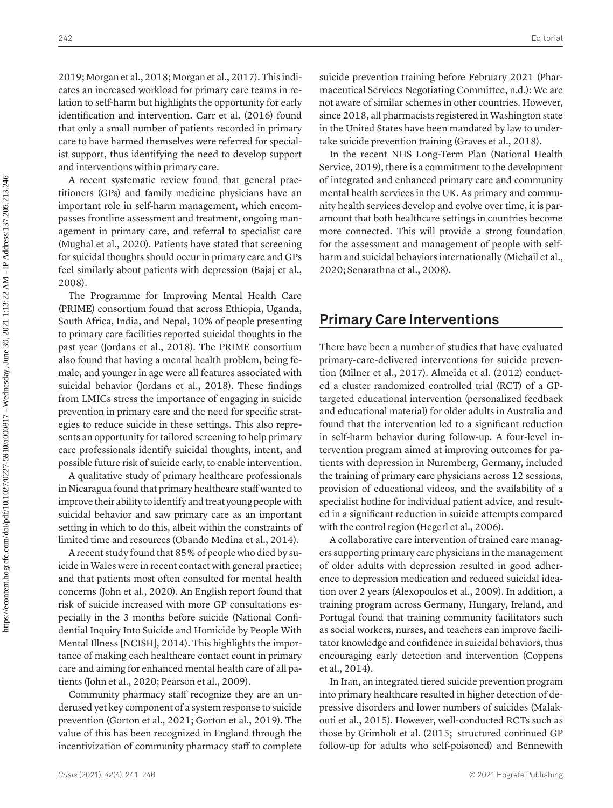[2019](#page-3-3); [Morgan et al., 2018](#page-3-4); [Morgan et al., 2017](#page-4-2)). This indicates an increased workload for primary care teams in relation to self-harm but highlights the opportunity for early identification and intervention. [Carr et al. \(2016\)](#page-3-5) found that only a small number of patients recorded in primary care to have harmed themselves were referred for specialist support, thus identifying the need to develop support and interventions within primary care.

A recent systematic review found that general practitioners (GPs) and family medicine physicians have an important role in self-harm management, which encompasses frontline assessment and treatment, ongoing management in primary care, and referral to specialist care ([Mughal et al., 2020\)](#page-4-3). Patients have stated that screening for suicidal thoughts should occur in primary care and GPs feel similarly about patients with depression ([Bajaj et al.,](#page-3-6) [2008](#page-3-6)).

The Programme for Improving Mental Health Care (PRIME) consortium found that across Ethiopia, Uganda, South Africa, India, and Nepal, 10% of people presenting to primary care facilities reported suicidal thoughts in the past year ([Jordans et al., 2018\)](#page-3-7). The PRIME consortium also found that having a mental health problem, being female, and younger in age were all features associated with suicidal behavior [\(Jordans et al., 2018\)](#page-3-7). These findings from LMICs stress the importance of engaging in suicide prevention in primary care and the need for specific strategies to reduce suicide in these settings. This also represents an opportunity for tailored screening to help primary care professionals identify suicidal thoughts, intent, and possible future risk of suicide early, to enable intervention.

A qualitative study of primary healthcare professionals in Nicaragua found that primary healthcare staff wanted to improve their ability to identify and treat young people with suicidal behavior and saw primary care as an important setting in which to do this, albeit within the constraints of limited time and resources [\(Obando Medina et al., 2014](#page-4-4)).

A recent study found that 85% of people who died by suicide in Wales were in recent contact with general practice; and that patients most often consulted for mental health concerns ([John et al., 2020\)](#page-3-8). An English report found that risk of suicide increased with more GP consultations especially in the 3 months before suicide ([National Confi](#page-4-5)[dential Inquiry Into Suicide and Homicide by People With](#page-4-5) [Mental Illness \[NCISH\], 2014\)](#page-4-5). This highlights the importance of making each healthcare contact count in primary care and aiming for enhanced mental health care of all patients ([John et al., 2020](#page-3-8); [Pearson et al., 2009](#page-4-6)).

Community pharmacy staff recognize they are an underused yet key component of a system response to suicide prevention (Gorton et al., 2021; [Gorton et al., 2019\)](#page-3-9). The value of this has been recognized in England through the incentivization of community pharmacy staff to complete

suicide prevention training before February 2021 ([Phar](#page-4-7)[maceutical Services Negotiating Committee, n.d.](#page-4-7)): We are not aware of similar schemes in other countries. However, since 2018, all pharmacists registered in Washington state in the United States have been mandated by law to undertake suicide prevention training [\(Graves et al., 2018](#page-3-10)).

In the recent NHS Long-Term Plan ([National Health](#page-4-8) [Service, 2019](#page-4-8)), there is a commitment to the development of integrated and enhanced primary care and community mental health services in the UK. As primary and community health services develop and evolve over time, it is paramount that both healthcare settings in countries become more connected. This will provide a strong foundation for the assessment and management of people with selfharm and suicidal behaviors internationally [\(Michail et al.,](#page-3-1) [2020](#page-3-1); [Senarathna et al., 2008](#page-4-9)).

#### **Primary Care Interventions**

There have been a number of studies that have evaluated primary-care-delivered interventions for suicide prevention [\(Milner et al., 2017\)](#page-3-11). [Almeida et al. \(2012\)](#page-3-12) conducted a cluster randomized controlled trial (RCT) of a GPtargeted educational intervention (personalized feedback and educational material) for older adults in Australia and found that the intervention led to a significant reduction in self-harm behavior during follow-up. A four-level intervention program aimed at improving outcomes for patients with depression in Nuremberg, Germany, included the training of primary care physicians across 12 sessions, provision of educational videos, and the availability of a specialist hotline for individual patient advice, and resulted in a significant reduction in suicide attempts compared with the control region ([Hegerl et al., 2006](#page-3-13)).

A collaborative care intervention of trained care managers supporting primary care physicians in the management of older adults with depression resulted in good adherence to depression medication and reduced suicidal ideation over 2 years ([Alexopoulos et al., 2009](#page-3-14)). In addition, a training program across Germany, Hungary, Ireland, and Portugal found that training community facilitators such as social workers, nurses, and teachers can improve facilitator knowledge and confidence in suicidal behaviors, thus encouraging early detection and intervention (Coppens et al., 2014).

In Iran, an integrated tiered suicide prevention program into primary healthcare resulted in higher detection of depressive disorders and lower numbers of suicides ([Malak](#page-3-15)[outi et al., 2015\)](#page-3-15). However, well-conducted RCTs such as those by [Grimholt et al. \(2015;](#page-3-16) structured continued GP follow-up for adults who self-poisoned) and [Bennewith](#page-3-17)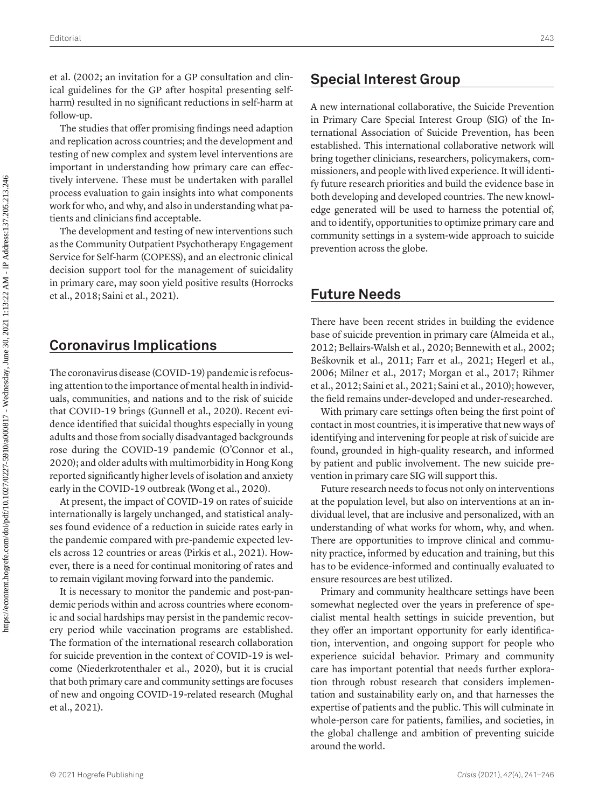[et al. \(2002;](#page-3-17) an invitation for a GP consultation and clinical guidelines for the GP after hospital presenting selfharm) resulted in no significant reductions in self-harm at follow-up.

The studies that offer promising findings need adaption and replication across countries; and the development and testing of new complex and system level interventions are important in understanding how primary care can effectively intervene. These must be undertaken with parallel process evaluation to gain insights into what components work for who, and why, and also in understanding what patients and clinicians find acceptable.

The development and testing of new interventions such as the Community Outpatient Psychotherapy Engagement Service for Self-harm (COPESS), and an electronic clinical decision support tool for the management of suicidality in primary care, may soon yield positive results ([Horrocks](#page-3-18)  [et al., 2018](#page-3-18); [Saini et al., 2021\)](#page-4-10).

#### **Coronavirus Implications**

The coronavirus disease (COVID-19) pandemic is refocusing attention to the importance of mental health in individuals, communities, and nations and to the risk of suicide that COVID-19 brings (Gunnell et al., 2020). Recent evidence identified that suicidal thoughts especially in young adults and those from socially disadvantaged backgrounds rose during the COVID-19 pandemic (O'Connor et al., 2020); and older adults with multimorbidity in Hong Kong reported significantly higher levels of isolation and anxiety early in the COVID-19 outbreak ([Wong et al., 2020\)](#page-4-11).

At present, the impact of COVID-19 on rates of suicide internationally is largely unchanged, and statistical analyses found evidence of a reduction in suicide rates early in the pandemic compared with pre-pandemic expected levels across 12 countries or areas [\(Pirkis et al., 2021\)](#page-4-12). However, there is a need for continual monitoring of rates and to remain vigilant moving forward into the pandemic.

It is necessary to monitor the pandemic and post-pandemic periods within and across countries where economic and social hardships may persist in the pandemic recovery period while vaccination programs are established. The formation of the international research collaboration for suicide prevention in the context of COVID-19 is welcome (Niederkrotenthaler et al., 2020), but it is crucial that both primary care and community settings are focuses of new and ongoing COVID-19-related research [\(Mughal](#page-4-13)  [et al., 2021](#page-4-13)).

#### **Special Interest Group**

A new international collaborative, the Suicide Prevention in Primary Care Special Interest Group (SIG) of the International Association of Suicide Prevention, has been established. This international collaborative network will bring together clinicians, researchers, policymakers, commissioners, and people with lived experience. It will identify future research priorities and build the evidence base in both developing and developed countries. The new knowledge generated will be used to harness the potential of, and to identify, opportunities to optimize primary care and community settings in a system-wide approach to suicide prevention across the globe.

#### **Future Needs**

There have been recent strides in building the evidence base of suicide prevention in primary care [\(Almeida et al.,](#page-3-12)  [2012;](#page-3-12) [Bellairs-Walsh et al., 2020;](#page-3-19) [Bennewith et al., 2002](#page-3-17); Beškovnik et al., 2011; [Farr et al., 2021;](#page-3-20) [Hegerl et al.,](#page-3-13)  [2006;](#page-3-13) [Milner et al., 2017;](#page-3-11) [Morgan et al., 2017;](#page-4-2) [Rihmer](#page-4-14)  [et al., 2012](#page-4-14); [Saini et al., 2021](#page-4-10); [Saini et al., 2010](#page-4-15)); however, the field remains under-developed and under-researched.

With primary care settings often being the first point of contact in most countries, it is imperative that new ways of identifying and intervening for people at risk of suicide are found, grounded in high-quality research, and informed by patient and public involvement. The new suicide prevention in primary care SIG will support this.

Future research needs to focus not only on interventions at the population level, but also on interventions at an individual level, that are inclusive and personalized, with an understanding of what works for whom, why, and when. There are opportunities to improve clinical and community practice, informed by education and training, but this has to be evidence-informed and continually evaluated to ensure resources are best utilized.

Primary and community healthcare settings have been somewhat neglected over the years in preference of specialist mental health settings in suicide prevention, but they offer an important opportunity for early identification, intervention, and ongoing support for people who experience suicidal behavior. Primary and community care has important potential that needs further exploration through robust research that considers implementation and sustainability early on, and that harnesses the expertise of patients and the public. This will culminate in whole-person care for patients, families, and societies, in the global challenge and ambition of preventing suicide around the world.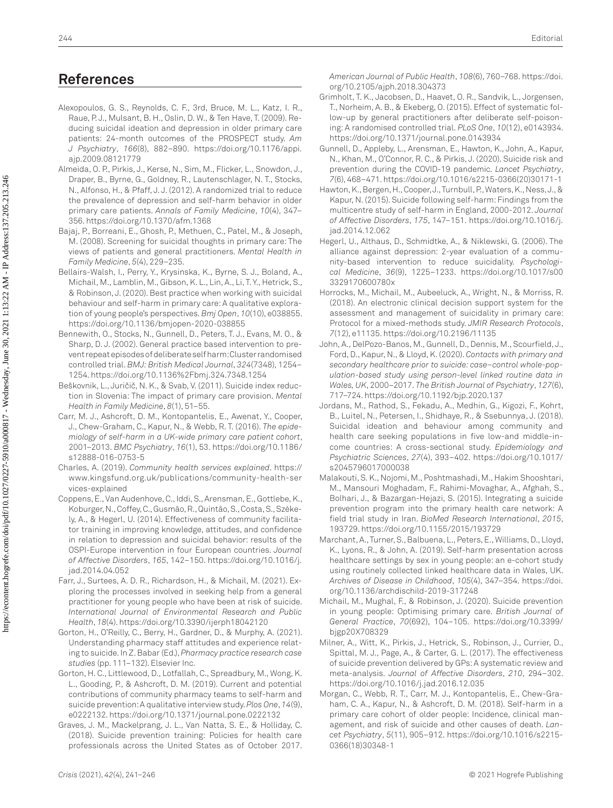### **References**

- <span id="page-3-14"></span>Alexopoulos, G. S., Reynolds, C. F., 3rd, Bruce, M. L., Katz, I. R., Raue, P. J., Mulsant, B. H., Oslin, D. W., & Ten Have, T. (2009). Reducing suicidal ideation and depression in older primary care patients: 24-month outcomes of the PROSPECT study. *Am J Psychiatry*, *166*(8), 882–890. [https://doi.org/10.1176/appi.](https://doi.org/10.1176/appi.ajp.2009.08121779) [ajp.2009.08121779](https://doi.org/10.1176/appi.ajp.2009.08121779)
- <span id="page-3-12"></span>Almeida, O. P., Pirkis, J., Kerse, N., Sim, M., Flicker, L., Snowdon, J., Draper, B., Byrne, G., Goldney, R., Lautenschlager, N. T., Stocks, N., Alfonso, H., & Pfaff, J. J. (2012). A randomized trial to reduce the prevalence of depression and self-harm behavior in older primary care patients. *Annals of Family Medicine*, *10*(4), 347– 356. <https://doi.org/10.1370/afm.1368>
- <span id="page-3-6"></span>Bajaj, P., Borreani, E., Ghosh, P., Methuen, C., Patel, M., & Joseph, M. (2008). Screening for suicidal thoughts in primary care: The views of patients and general practitioners. *Mental Health in Family Medicine*, *5*(4), 229–235.
- <span id="page-3-19"></span>Bellairs-Walsh, I., Perry, Y., Krysinska, K., Byrne, S. J., Boland, A., Michail, M., Lamblin, M., Gibson, K. L., Lin, A., Li, T. Y., Hetrick, S., & Robinson, J. (2020). Best practice when working with suicidal behaviour and self-harm in primary care: A qualitative exploration of young people's perspectives. *Bmj Open*, *10*(10), e038855. <https://doi.org/10.1136/bmjopen-2020-038855>
- <span id="page-3-17"></span>Bennewith, O., Stocks, N., Gunnell, D., Peters, T. J., Evans, M. O., & Sharp, D. J. (2002). General practice based intervention to prevent repeat episodes of deliberate self harm: Cluster randomised controlled trial. *BMJ: British Medical Journal*, *324*(7348), 1254– 1254.<https://doi.org/10.1136%2Fbmj.324.7348.1254>
- Beškovnik, L., Juričič, N. K., & Svab, V. (2011). Suicide index reduction in Slovenia: The impact of primary care provision. *Mental Health in Family Medicine*, *8*(1), 51–55.
- <span id="page-3-5"></span>Carr, M. J., Ashcroft, D. M., Kontopantelis, E., Awenat, Y., Cooper, J., Chew-Graham, C., Kapur, N., & Webb, R. T. (2016). *The epidemiology of self-harm in a UK-wide primary care patient cohort*, 2001–2013. *BMC Psychiatry*, *16*(1), 53. [https://doi.org/10.1186/](https://doi.org/10.1186/s12888-016-0753-5) [s12888-016-0753-5](https://doi.org/10.1186/s12888-016-0753-5)
- <span id="page-3-2"></span>Charles, A. (2019). *Community health services explained*. [https://](https://www.kingsfund.org.uk/publications/community-health-services-explained) [www.kingsfund.org.uk/publications/community-health-ser](https://www.kingsfund.org.uk/publications/community-health-services-explained) [vices-explained](https://www.kingsfund.org.uk/publications/community-health-services-explained)
- Coppens, E., Van Audenhove, C., Iddi, S., Arensman, E., Gottlebe, K., Koburger, N., Coffey, C., Gusmão, R., Quintão, S., Costa, S., Székely, A., & Hegerl, U. (2014). Effectiveness of community facilitator training in improving knowledge, attitudes, and confidence in relation to depression and suicidal behavior: results of the OSPI-Europe intervention in four European countries. *Journal of Affective Disorders*, *165*, 142–150. [https://doi.org/10.1016/j.](https://doi.org/10.1016/j.jad.2014.04.052) [jad.2014.04.052](https://doi.org/10.1016/j.jad.2014.04.052)
- <span id="page-3-20"></span>Farr, J., Surtees, A. D. R., Richardson, H., & Michail, M. (2021). Exploring the processes involved in seeking help from a general practitioner for young people who have been at risk of suicide. *International Journal of Environmental Research and Public Health*, *18*(4). <https://doi.org/10.3390/ijerph18042120>
- Gorton, H., O'Reilly, C., Berry, H., Gardner, D., & Murphy, A. (2021). Understanding pharmacy staff attitudes and experience relating to suicide. In Z.Babar (Ed.), *Pharmacy practice research case studies* (pp. 111–132). Elsevier Inc.
- <span id="page-3-9"></span>Gorton, H. C., Littlewood, D., Lotfallah, C., Spreadbury, M., Wong, K. L., Gooding, P., & Ashcroft, D. M. (2019). Current and potential contributions of community pharmacy teams to self-harm and suicide prevention: A qualitative interview study. *Plos One*, *14*(9), e0222132.<https://doi.org/10.1371/journal.pone.0222132>
- <span id="page-3-10"></span>Graves, J. M., Mackelprang, J. L., Van Natta, S. E., & Holliday, C. (2018). Suicide prevention training: Policies for health care professionals across the United States as of October 2017.

*American Journal of Public Health*, *108*(6), 760–768. [https://doi.](https://doi.org/10.2105/ajph.2018.304373) [org/10.2105/ajph.2018.304373](https://doi.org/10.2105/ajph.2018.304373)

- <span id="page-3-16"></span>Grimholt, T. K., Jacobsen, D., Haavet, O. R., Sandvik, L., Jorgensen, T., Norheim, A. B., & Ekeberg, O. (2015). Effect of systematic follow-up by general practitioners after deliberate self-poisoning: A randomised controlled trial. *PLoS One*, *10*(12), e0143934. <https://doi.org/10.1371/journal.pone.0143934>
- Gunnell, D., Appleby, L., Arensman, E., Hawton, K., John, A., Kapur, N., Khan, M., O'Connor, R. C., & Pirkis, J. (2020). Suicide risk and prevention during the COVID-19 pandemic. *Lancet Psychiatry*, *7*(6), 468–471. [https://doi.org/10.1016/s2215-0366\(20\)30171-1](https://doi.org/10.1016/s2215-0366(20)30171-1)
- <span id="page-3-0"></span>Hawton, K., Bergen, H., Cooper, J., Turnbull, P., Waters, K., Ness, J., & Kapur, N. (2015). Suicide following self-harm: Findings from the multicentre study of self-harm in England, 2000-2012. *Journal of Affective Disorders*, *175*, 147–151. [https://doi.org/10.1016/j.](https://doi.org/10.1016/j.jad.2014.12.062) [jad.2014.12.062](https://doi.org/10.1016/j.jad.2014.12.062)
- <span id="page-3-13"></span>Hegerl, U., Althaus, D., Schmidtke, A., & Niklewski, G. (2006). The alliance against depression: 2-year evaluation of a community-based intervention to reduce suicidality. *Psychological Medicine*, *36*(9), 1225–1233. [https://doi.org/10.1017/s00](https://doi.org/10.1017/s003329170600780x) [3329170600780x](https://doi.org/10.1017/s003329170600780x)
- <span id="page-3-18"></span>Horrocks, M., Michail, M., Aubeeluck, A., Wright, N., & Morriss, R. (2018). An electronic clinical decision support system for the assessment and management of suicidality in primary care: Protocol for a mixed-methods study. *JMIR Research Protocols*, *7*(12), e11135. <https://doi.org/10.2196/11135>
- <span id="page-3-8"></span>John, A., DelPozo-Banos, M., Gunnell, D., Dennis, M., Scourfield, J., Ford, D., Kapur, N., & Lloyd, K. (2020). *Contacts with primary and secondary healthcare prior to suicide: case–control whole-population-based study using person-level linked routine data in Wales, UK*, 2000–2017. *The British Journal of Psychiatry*, *127*(6), 717–724.<https://doi.org/10.1192/bjp.2020.137>
- <span id="page-3-7"></span>Jordans, M., Rathod, S., Fekadu, A., Medhin, G., Kigozi, F., Kohrt, B., Luitel, N., Petersen, I., Shidhaye, R., & Ssebunnya, J. (2018). Suicidal ideation and behaviour among community and health care seeking populations in five low-and middle-income countries: A cross-sectional study. *Epidemiology and Psychiatric Sciences*, *27*(4), 393–402. [https://doi.org/10.1017/](https://doi.org/10.1017/s2045796017000038) [s2045796017000038](https://doi.org/10.1017/s2045796017000038)
- <span id="page-3-15"></span>Malakouti, S. K., Nojomi, M., Poshtmashadi, M., Hakim Shooshtari, M., Mansouri Moghadam, F., Rahimi-Movaghar, A., Afghah, S., Bolhari, J., & Bazargan-Hejazi, S. (2015). Integrating a suicide prevention program into the primary health care network: A field trial study in Iran. *BioMed Research International*, *2015*, 193729.<https://doi.org/10.1155/2015/193729>
- <span id="page-3-3"></span>Marchant, A., Turner, S., Balbuena, L., Peters, E., Williams, D., Lloyd, K., Lyons, R., & John, A. (2019). Self-harm presentation across healthcare settings by sex in young people: an e-cohort study using routinely collected linked healthcare data in Wales, UK. *Archives of Disease in Childhood*, *105*(4), 347–354. [https://doi.](https://doi.org/10.1136/archdischild-2019-317248) [org/10.1136/archdischild-2019-317248](https://doi.org/10.1136/archdischild-2019-317248)
- <span id="page-3-1"></span>Michail, M., Mughal, F., & Robinson, J. (2020). Suicide prevention in young people: Optimising primary care. *British Journal of General Practice*, *70*(692), 104–105. [https://doi.org/10.3399/](https://doi.org/10.3399/bjgp20X708329) [bjgp20X708329](https://doi.org/10.3399/bjgp20X708329)
- <span id="page-3-11"></span>Milner, A., Witt, K., Pirkis, J., Hetrick, S., Robinson, J., Currier, D., Spittal, M. J., Page, A., & Carter, G. L. (2017). The effectiveness of suicide prevention delivered by GPs: A systematic review and meta-analysis. *Journal of Affective Disorders*, *210*, 294–302. <https://doi.org/10.1016/j.jad.2016.12.035>
- <span id="page-3-4"></span>Morgan, C., Webb, R. T., Carr, M. J., Kontopantelis, E., Chew-Graham, C. A., Kapur, N., & Ashcroft, D. M. (2018). Self-harm in a primary care cohort of older people: Incidence, clinical management, and risk of suicide and other causes of death. *Lancet Psychiatry*, *5*(11), 905–912. [https://doi.org/10.1016/s2215-](https://doi.org/10.1016/s2215-0366(18)30348-1) [0366\(18\)30348-1](https://doi.org/10.1016/s2215-0366(18)30348-1)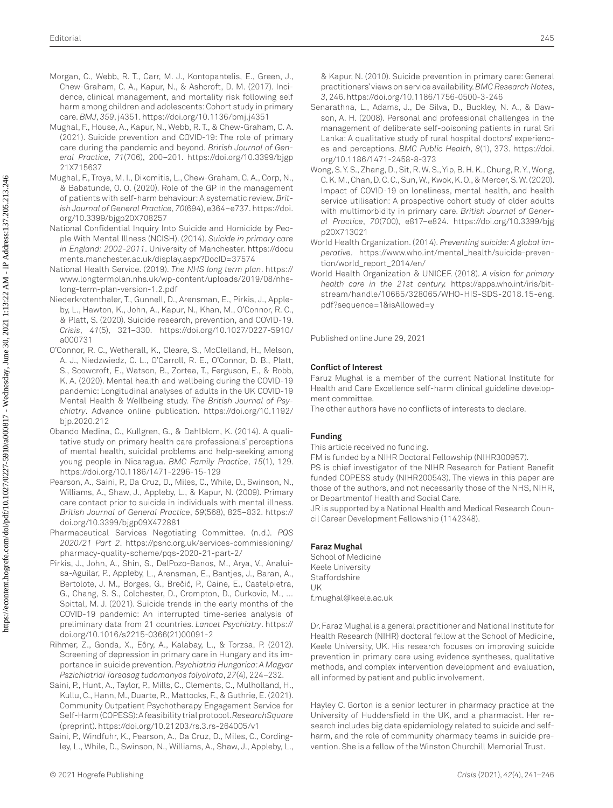- <span id="page-4-2"></span>Morgan, C., Webb, R. T., Carr, M. J., Kontopantelis, E., Green, J., Chew-Graham, C. A., Kapur, N., & Ashcroft, D. M. (2017). Incidence, clinical management, and mortality risk following self harm among children and adolescents: Cohort study in primary care. *BMJ*, *359*, j4351.<https://doi.org/10.1136/bmj.j4351>
- <span id="page-4-13"></span>Mughal, F., House, A., Kapur, N., Webb, R. T., & Chew-Graham, C. A. (2021). Suicide prevention and COVID-19: The role of primary care during the pandemic and beyond. *British Journal of General Practice*, *71*(706), 200–201. [https://doi.org/10.3399/bjgp](https://doi.org/10.3399/bjgp21X715637) [21X715637](https://doi.org/10.3399/bjgp21X715637)
- <span id="page-4-3"></span>Mughal, F., Troya, M. I., Dikomitis, L., Chew-Graham, C. A., Corp, N., & Babatunde, O. O. (2020). Role of the GP in the management of patients with self-harm behaviour: A systematic review. *British Journal of General Practice*, *70*(694), e364–e737. [https://doi.](https://doi.org/10.3399/bjgp20X708257) [org/10.3399/bjgp20X708257](https://doi.org/10.3399/bjgp20X708257)
- <span id="page-4-5"></span>National Confidential Inquiry Into Suicide and Homicide by People With Mental Illness (NCISH). (2014). *Suicide in primary care in England: 2002-2011*. University of Manchester. [https://docu](https://documents.manchester.ac.uk/display.aspx?DocID=37574) [ments.manchester.ac.uk/display.aspx?DocID=37574](https://documents.manchester.ac.uk/display.aspx?DocID=37574)
- <span id="page-4-8"></span>National Health Service. (2019). *The NHS long term plan*. [https://](https://www.longtermplan.nhs.uk/wp-content/uploads/2019/08/nhs-long-term-plan-version-1.2.pdf) [www.longtermplan.nhs.uk/wp-content/uploads/2019/08/nhs](https://www.longtermplan.nhs.uk/wp-content/uploads/2019/08/nhs-long-term-plan-version-1.2.pdf)[long-term-plan-version-1.2.pdf](https://www.longtermplan.nhs.uk/wp-content/uploads/2019/08/nhs-long-term-plan-version-1.2.pdf)
- Niederkrotenthaler, T., Gunnell, D., Arensman, E., Pirkis, J., Appleby, L., Hawton, K., John, A., Kapur, N., Khan, M., O'Connor, R. C., & Platt, S. (2020). Suicide research, prevention, and COVID-19. *Crisis*, *41*(5), 321–330. [https://doi.org/10.1027/0227-5910/](https://doi.org/10.1027/0227-5910/a000731) [a000731](https://doi.org/10.1027/0227-5910/a000731)
- O'Connor, R. C., Wetherall, K., Cleare, S., McClelland, H., Melson, A. J., Niedzwiedz, C. L., O'Carroll, R. E., O'Connor, D. B., Platt, S., Scowcroft, E., Watson, B., Zortea, T., Ferguson, E., & Robb, K. A. (2020). Mental health and wellbeing during the COVID-19 pandemic: Longitudinal analyses of adults in the UK COVID-19 Mental Health & Wellbeing study. *The British Journal of Psychiatry*. Advance online publication. [https://doi.org/10.1192/](https://doi.org/10.1192/bjp.2020.212) [bjp.2020.212](https://doi.org/10.1192/bjp.2020.212)
- <span id="page-4-4"></span>Obando Medina, C., Kullgren, G., & Dahlblom, K. (2014). A qualitative study on primary health care professionals' perceptions of mental health, suicidal problems and help-seeking among young people in Nicaragua. *BMC Family Practice*, *15*(1), 129. <https://doi.org/10.1186/1471-2296-15-129>
- <span id="page-4-6"></span>Pearson, A., Saini, P., Da Cruz, D., Miles, C., While, D., Swinson, N., Williams, A., Shaw, J., Appleby, L., & Kapur, N. (2009). Primary care contact prior to suicide in individuals with mental illness. *British Journal of General Practice*, *59*(568), 825–832. [https://](https://doi.org/10.3399/bjgp09X472881) [doi.org/10.3399/bjgp09X472881](https://doi.org/10.3399/bjgp09X472881)
- <span id="page-4-7"></span>Pharmaceutical Services Negotiating Committee. (n.d.). *PQS 2020/21 Part 2*. [https://psnc.org.uk/services-commissioning/](https://psnc.org.uk/services-commissioning/pharmacy-quality-scheme/pqs-2020-21-part-2/) [pharmacy-quality-scheme/pqs-2020-21-part-2/](https://psnc.org.uk/services-commissioning/pharmacy-quality-scheme/pqs-2020-21-part-2/)
- <span id="page-4-12"></span>Pirkis, J., John, A., Shin, S., DelPozo-Banos, M., Arya, V., Analuisa-Aguilar, P., Appleby, L., Arensman, E., Bantjes, J., Baran, A., Bertolote, J. M., Borges, G., Brečić, P., Caine, E., Castelpietra, G., Chang, S. S., Colchester, D., Crompton, D., Curkovic, M., … Spittal, M. J. (2021). Suicide trends in the early months of the COVID-19 pandemic: An interrupted time-series analysis of preliminary data from 21 countries. *Lancet Psychiatry*. [https://](https://doi.org/10.1016/s2215-0366(21)00091-2) [doi.org/10.1016/s2215-0366\(21\)00091-2](https://doi.org/10.1016/s2215-0366(21)00091-2)
- <span id="page-4-14"></span>Rihmer, Z., Gonda, X., Eôry, A., Kalabay, L., & Torzsa, P. (2012). Screening of depression in primary care in Hungary and its importance in suicide prevention. *Psychiatria Hungarica: A Magyar Pszichiatriai Tarsasag tudomanyos folyoirata*, *27*(4), 224–232.
- <span id="page-4-10"></span>Saini, P., Hunt, A., Taylor, P., Mills, C., Clements, C., Mulholland, H., Kullu, C., Hann, M., Duarte, R., Mattocks, F., & Guthrie, E. (2021). Community Outpatient Psychotherapy Engagement Service for Self-Harm (COPESS): A feasibility trial protocol. *ResearchSquare* (preprint).<https://doi.org/10.21203/rs.3.rs-264005/v1>
- <span id="page-4-15"></span>Saini, P., Windfuhr, K., Pearson, A., Da Cruz, D., Miles, C., Cordingley, L., While, D., Swinson, N., Williams, A., Shaw, J., Appleby, L.,

& Kapur, N. (2010). Suicide prevention in primary care: General practitioners' views on service availability. *BMC Research Notes*, *3*, 246. <https://doi.org/10.1186/1756-0500-3-246>

- <span id="page-4-9"></span>Senarathna, L., Adams, J., De Silva, D., Buckley, N. A., & Dawson, A. H. (2008). Personal and professional challenges in the management of deliberate self-poisoning patients in rural Sri Lanka: A qualitative study of rural hospital doctors' experiences and perceptions. *BMC Public Health*, *8*(1), 373. [https://doi.](https://doi.org/10.1186/1471-2458-8-373) [org/10.1186/1471-2458-8-373](https://doi.org/10.1186/1471-2458-8-373)
- <span id="page-4-11"></span>Wong, S. Y. S., Zhang, D., Sit, R. W. S., Yip, B. H. K., Chung, R. Y., Wong, C. K. M., Chan, D. C. C., Sun, W., Kwok, K. O., & Mercer, S. W. (2020). Impact of COVID-19 on loneliness, mental health, and health service utilisation: A prospective cohort study of older adults with multimorbidity in primary care. *British Journal of General Practice*, *70*(700), e817–e824. [https://doi.org/10.3399/bjg](https://doi.org/10.3399/bjgp20X713021) [p20X713021](https://doi.org/10.3399/bjgp20X713021)
- <span id="page-4-0"></span>World Health Organization. (2014). *Preventing suicide: A global imperative*. [https://www.who.int/mental\\_health/suicide-preven](https://www.who.int/mental_health/suicide-prevention/world_report_2014/en/)[tion/world\\_report\\_2014/en/](https://www.who.int/mental_health/suicide-prevention/world_report_2014/en/)
- <span id="page-4-1"></span>World Health Organization & UNICEF. (2018). *A vision for primary health care in the 21st century.* [https://apps.who.int/iris/bit](https://apps.who.int/iris/bitstream/handle/10665/328065/WHO-HIS-SDS-2018.15-eng.pdf?sequence=1&isAllowed=y)[stream/handle/10665/328065/WHO-HIS-SDS-2018.15-eng.](https://apps.who.int/iris/bitstream/handle/10665/328065/WHO-HIS-SDS-2018.15-eng.pdf?sequence=1&isAllowed=y) [pdf?sequence=1&isAllowed=y](https://apps.who.int/iris/bitstream/handle/10665/328065/WHO-HIS-SDS-2018.15-eng.pdf?sequence=1&isAllowed=y)

Published online June 29, 2021

#### **Conflict of Interest**

Faruz Mughal is a member of the current National Institute for Health and Care Excellence self-harm clinical guideline development committee.

The other authors have no conflicts of interests to declare.

#### **Funding**

This article received no funding.

FM is funded by a NIHR Doctoral Fellowship (NIHR300957).

PS is chief investigator of the NIHR Research for Patient Benefit funded COPESS study (NIHR200543). The views in this paper are those of the authors, and not necessarily those of the NHS, NIHR, or Departmentof Health and Social Care.

JR is supported by a National Health and Medical Research Council Career Development Fellowship (1142348).

#### **Faraz Mughal**

School of Medicine Keele University **Staffordshire** UK [f.mughal@keele.ac.uk](mailto:f.mughal@keele.ac.uk)

Dr. Faraz Mughal is a general practitioner and National Institute for Health Research (NIHR) doctoral fellow at the School of Medicine, Keele University, UK. His research focuses on improving suicide prevention in primary care using evidence syntheses, qualitative methods, and complex intervention development and evaluation, all informed by patient and public involvement.

Hayley C. Gorton is a senior lecturer in pharmacy practice at the University of Huddersfield in the UK, and a pharmacist. Her research includes big data epidemiology related to suicide and selfharm, and the role of community pharmacy teams in suicide prevention. She is a fellow of the Winston Churchill Memorial Trust.